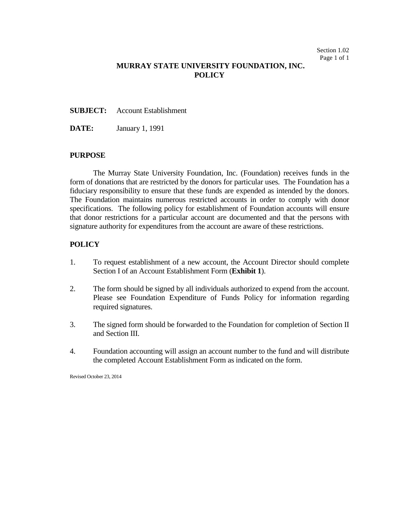## **MURRAY STATE UNIVERSITY FOUNDATION, INC. POLICY**

#### **SUBJECT:** Account Establishment

**DATE:** January 1, 1991

### **PURPOSE**

The Murray State University Foundation, Inc. (Foundation) receives funds in the form of donations that are restricted by the donors for particular uses. The Foundation has a fiduciary responsibility to ensure that these funds are expended as intended by the donors. The Foundation maintains numerous restricted accounts in order to comply with donor specifications. The following policy for establishment of Foundation accounts will ensure that donor restrictions for a particular account are documented and that the persons with signature authority for expenditures from the account are aware of these restrictions.

### **POLICY**

- 1. To request establishment of a new account, the Account Director should complete Section I of an Account Establishment Form (**Exhibit 1**).
- 2. The form should be signed by all individuals authorized to expend from the account. Please see Foundation Expenditure of Funds Policy for information regarding required signatures.
- 3. The signed form should be forwarded to the Foundation for completion of Section II and Section III.
- 4. Foundation accounting will assign an account number to the fund and will distribute the completed Account Establishment Form as indicated on the form.

Revised October 23, 2014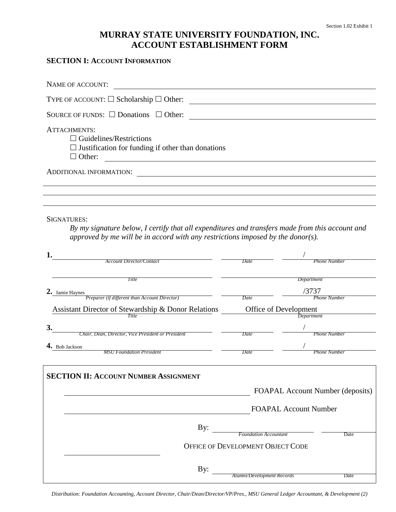# **MURRAY STATE UNIVERSITY FOUNDATION, INC. ACCOUNT ESTABLISHMENT FORM**

### **SECTION I: ACCOUNT INFORMATION**

| NAME OF ACCOUNT:                                                                                                                   |  |
|------------------------------------------------------------------------------------------------------------------------------------|--|
| TYPE OF ACCOUNT: $\Box$ Scholarship $\Box$ Other:                                                                                  |  |
| SOURCE OF FUNDS: $\square$ Donations $\square$ Other:                                                                              |  |
| <b>ATTACHMENTS:</b><br>$\Box$ Guidelines/Restrictions<br>$\Box$ Justification for funding if other than donations<br>$\Box$ Other: |  |
| <b>ADDITIONAL INFORMATION:</b>                                                                                                     |  |
|                                                                                                                                    |  |
|                                                                                                                                    |  |

SIGNATURES:

*By my signature below, I certify that all expenditures and transfers made from this account and approved by me will be in accord with any restrictions imposed by the donor(s).*

| 1.                                                  |                                   |                                                                  |  |
|-----------------------------------------------------|-----------------------------------|------------------------------------------------------------------|--|
| <b>Account Director/Contact</b>                     | Date                              | Phone Number                                                     |  |
| Title                                               |                                   | Department                                                       |  |
| 2. Jamie Haynes                                     |                                   | /3737                                                            |  |
| Preparer (if different than Account Director)       | Date                              | <b>Phone Number</b>                                              |  |
| Assistant Director of Stewardship & Donor Relations |                                   | Office of Development                                            |  |
| Title                                               |                                   |                                                                  |  |
| 3.                                                  |                                   |                                                                  |  |
| Chair, Dean, Director, Vice President or President  | Date                              | <b>Phone Number</b>                                              |  |
| 4. Bob Jackson<br><b>MSU</b> Foundation President   | Date                              | <b>Phone Number</b>                                              |  |
|                                                     |                                   |                                                                  |  |
| <b>SECTION II: ACCOUNT NUMBER ASSIGNMENT</b>        |                                   | FOAPAL Account Number (deposits)<br><b>FOAPAL Account Number</b> |  |
|                                                     |                                   |                                                                  |  |
| By:                                                 | <b>Foundation Accountant</b>      |                                                                  |  |
|                                                     | OFFICE OF DEVELOPMENT OBJECT CODE | Date                                                             |  |
|                                                     |                                   |                                                                  |  |
| By:                                                 |                                   |                                                                  |  |
|                                                     | Alumni/Development Records        | Date                                                             |  |

*Distribution: Foundation Accounting, Account Director, Chair/Dean/Director/VP/Pres., MSU General Ledger Accountant, & Development (2)*